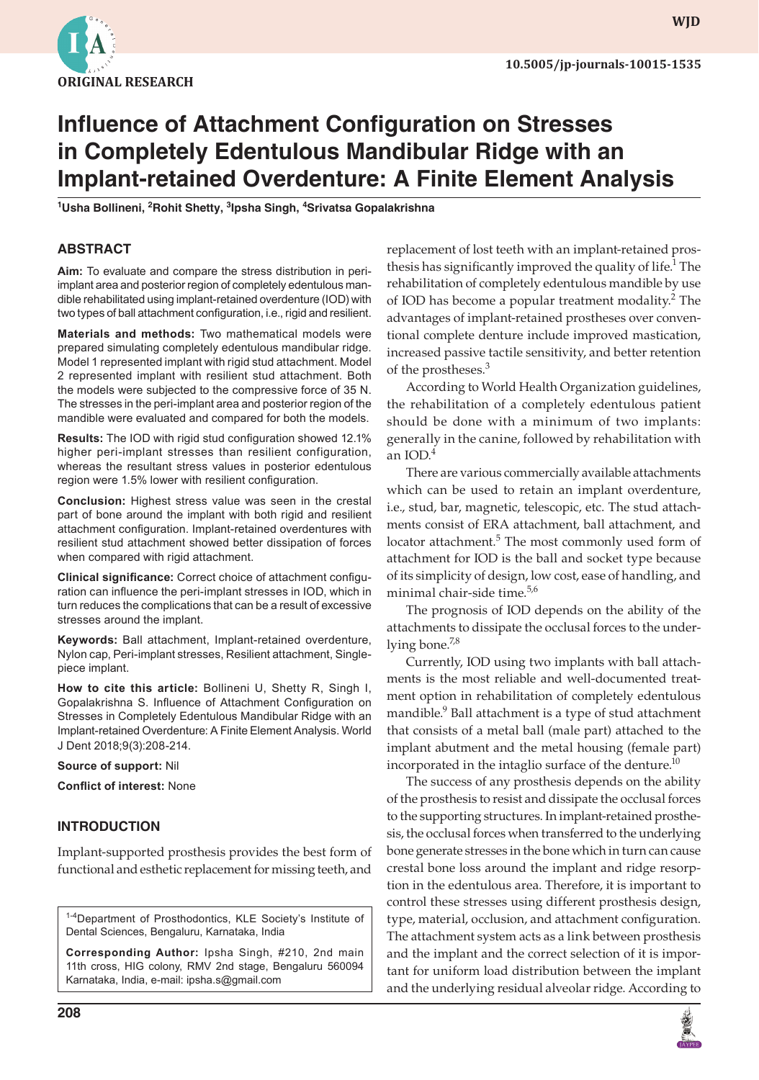

**wjd**

# **Influence of Attachment Configuration on Stresses in Completely Edentulous Mandibular Ridge with an Implant-retained Overdenture: A Finite Element Analysis**

**1 Usha Bollineni, <sup>2</sup> Rohit Shetty, <sup>3</sup> Ipsha Singh, <sup>4</sup> Srivatsa Gopalakrishna**

#### **ABSTRACT**

**Aim:** To evaluate and compare the stress distribution in periimplant area and posterior region of completely edentulous mandible rehabilitated using implant-retained overdenture (IOD) with two types of ball attachment configuration, i.e., rigid and resilient.

**Materials and methods:** Two mathematical models were prepared simulating completely edentulous mandibular ridge. Model 1 represented implant with rigid stud attachment. Model 2 represented implant with resilient stud attachment. Both the models were subjected to the compressive force of 35 N. The stresses in the peri-implant area and posterior region of the mandible were evaluated and compared for both the models.

**Results:** The IOD with rigid stud configuration showed 12.1% higher peri-implant stresses than resilient configuration, whereas the resultant stress values in posterior edentulous region were 1.5% lower with resilient configuration.

**Conclusion:** Highest stress value was seen in the crestal part of bone around the implant with both rigid and resilient attachment configuration. Implant-retained overdentures with resilient stud attachment showed better dissipation of forces when compared with rigid attachment.

**Clinical significance:** Correct choice of attachment configuration can influence the peri-implant stresses in IOD, which in turn reduces the complications that can be a result of excessive stresses around the implant.

**Keywords:** Ball attachment, Implant-retained overdenture, Nylon cap, Peri-implant stresses, Resilient attachment, Singlepiece implant.

**How to cite this article:** Bollineni U, Shetty R, Singh I, Gopalakrishna S. Influence of Attachment Configuration on Stresses in Completely Edentulous Mandibular Ridge with an Implant-retained Overdenture: A Finite Element Analysis. World J Dent 2018;9(3):208-214.

**Source of support:** Nil

**Conflict of interest:** None

### **INTRODUCTION**

Implant-supported prosthesis provides the best form of functional and esthetic replacement for missing teeth, and

<sup>1-4</sup>Department of Prosthodontics, KLE Society's Institute of Dental Sciences, Bengaluru, Karnataka, India

**Corresponding Author:** Ipsha Singh, #210, 2nd main 11th cross, HIG colony, RMV 2nd stage, Bengaluru 560094 Karnataka, India, e-mail: ipsha.s@gmail.com

replacement of lost teeth with an implant-retained prosthesis has significantly improved the quality of life.<sup>1</sup> The rehabilitation of completely edentulous mandible by use of IOD has become a popular treatment modality.<sup>2</sup> The advantages of implant-retained prostheses over conventional complete denture include improved mastication, increased passive tactile sensitivity, and better retention of the prostheses.<sup>3</sup>

According to World Health Organization guidelines, the rehabilitation of a completely edentulous patient should be done with a minimum of two implants: generally in the canine, followed by rehabilitation with an IOD.4

There are various commercially available attachments which can be used to retain an implant overdenture, i.e., stud, bar, magnetic, telescopic, etc. The stud attachments consist of ERA attachment, ball attachment, and locator attachment.<sup>5</sup> The most commonly used form of attachment for IOD is the ball and socket type because of its simplicity of design, low cost, ease of handling, and minimal chair-side time.<sup>5,6</sup>

The prognosis of IOD depends on the ability of the attachments to dissipate the occlusal forces to the underlying bone.<sup>7,8</sup>

Currently, IOD using two implants with ball attachments is the most reliable and well-documented treatment option in rehabilitation of completely edentulous mandible.<sup>9</sup> Ball attachment is a type of stud attachment that consists of a metal ball (male part) attached to the implant abutment and the metal housing (female part) incorporated in the intaglio surface of the denture. $^{10}$ 

The success of any prosthesis depends on the ability of the prosthesis to resist and dissipate the occlusal forces to the supporting structures. In implant-retained prosthesis, the occlusal forces when transferred to the underlying bone generate stresses in the bone which in turn can cause crestal bone loss around the implant and ridge resorption in the edentulous area. Therefore, it is important to control these stresses using different prosthesis design, type, material, occlusion, and attachment configuration. The attachment system acts as a link between prosthesis and the implant and the correct selection of it is important for uniform load distribution between the implant and the underlying residual alveolar ridge. According to

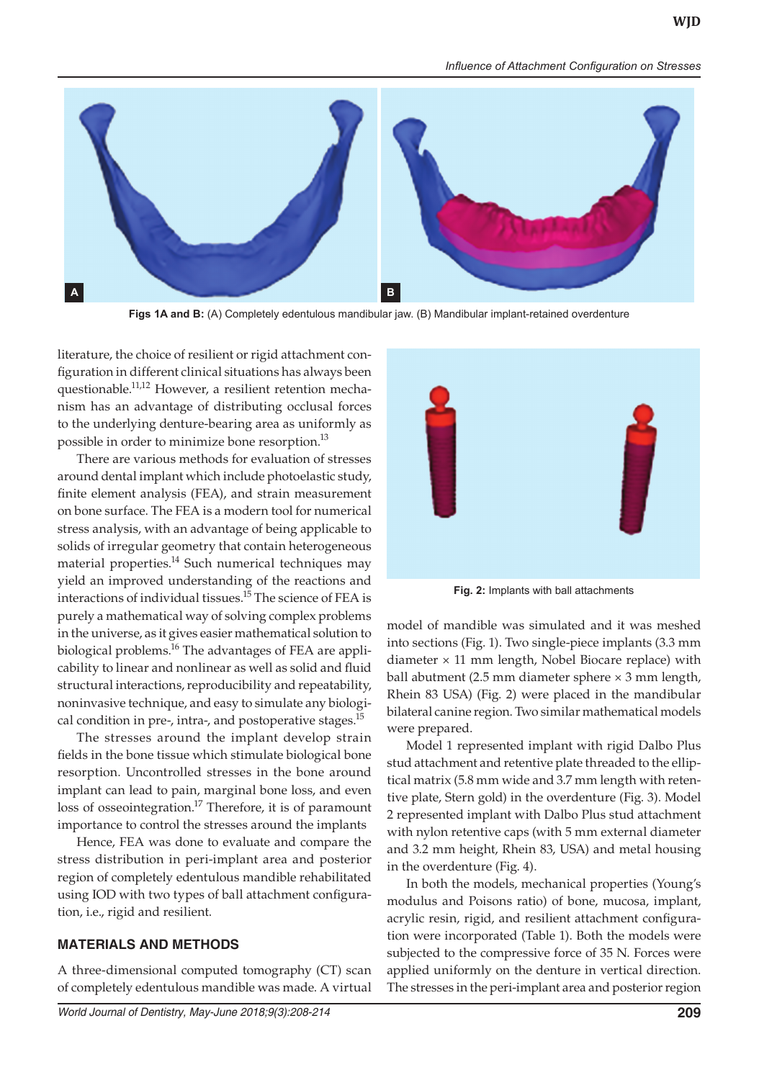**WJD**

#### *Influence of Attachment Configuration on Stresses*



**Figs 1A and B:** (A) Completely edentulous mandibular jaw. (B) Mandibular implant-retained overdenture

literature, the choice of resilient or rigid attachment configuration in different clinical situations has always been questionable.<sup>11,12</sup> However, a resilient retention mechanism has an advantage of distributing occlusal forces to the underlying denture-bearing area as uniformly as possible in order to minimize bone resorption.<sup>13</sup>

There are various methods for evaluation of stresses around dental implant which include photoelastic study, finite element analysis (FEA), and strain measurement on bone surface. The FEA is a modern tool for numerical stress analysis, with an advantage of being applicable to solids of irregular geometry that contain heterogeneous material properties.<sup>14</sup> Such numerical techniques may yield an improved understanding of the reactions and interactions of individual tissues.<sup>15</sup> The science of FEA is purely a mathematical way of solving complex problems in the universe, as it gives easier mathematical solution to biological problems.<sup>16</sup> The advantages of FEA are applicability to linear and nonlinear as well as solid and fluid structural interactions, reproducibility and repeatability, noninvasive technique, and easy to simulate any biological condition in pre-, intra-, and postoperative stages.<sup>15</sup>

The stresses around the implant develop strain fields in the bone tissue which stimulate biological bone resorption. Uncontrolled stresses in the bone around implant can lead to pain, marginal bone loss, and even loss of osseointegration.<sup>17</sup> Therefore, it is of paramount importance to control the stresses around the implants

Hence, FEA was done to evaluate and compare the stress distribution in peri-implant area and posterior region of completely edentulous mandible rehabilitated using IOD with two types of ball attachment configuration, i.e., rigid and resilient.

#### **MATERIALS AND METHODS**

A three-dimensional computed tomography (CT) scan of completely edentulous mandible was made. A virtual



**Fig. 2:** Implants with ball attachments

model of mandible was simulated and it was meshed into sections (Fig. 1). Two single-piece implants (3.3 mm diameter  $\times$  11 mm length, Nobel Biocare replace) with ball abutment (2.5 mm diameter sphere × 3 mm length, Rhein 83 USA) (Fig. 2) were placed in the mandibular bilateral canine region. Two similar mathematical models were prepared.

Model 1 represented implant with rigid Dalbo Plus stud attachment and retentive plate threaded to the elliptical matrix (5.8 mm wide and 3.7 mm length with retentive plate, Stern gold) in the overdenture (Fig. 3). Model 2 represented implant with Dalbo Plus stud attachment with nylon retentive caps (with 5 mm external diameter and 3.2 mm height, Rhein 83, USA) and metal housing in the overdenture (Fig. 4).

In both the models, mechanical properties (Young's modulus and Poisons ratio) of bone, mucosa, implant, acrylic resin, rigid, and resilient attachment configuration were incorporated (Table 1). Both the models were subjected to the compressive force of 35 N. Forces were applied uniformly on the denture in vertical direction. The stresses in the peri-implant area and posterior region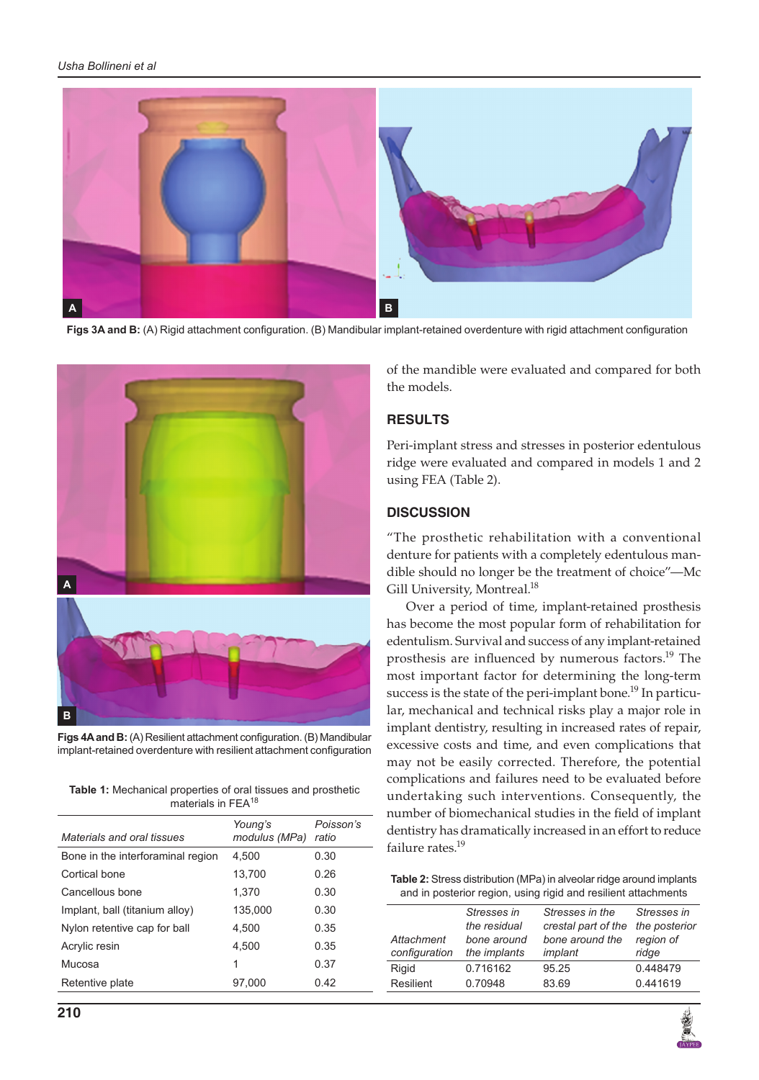

**Figs 3A and B:** (A) Rigid attachment configuration. (B) Mandibular implant-retained overdenture with rigid attachment configuration



**Figs 4A and B:** (A) Resilient attachment configuration. (B) Mandibular implant-retained overdenture with resilient attachment configuration

**Table 1:** Mechanical properties of oral tissues and prosthetic materials in FEA<sup>18</sup>

| Materials and oral tissues        | Young's<br>modulus (MPa) | Poisson's<br>ratio |
|-----------------------------------|--------------------------|--------------------|
| Bone in the interforaminal region | 4.500                    | 0.30               |
| Cortical bone                     | 13,700                   | 0.26               |
| Cancellous bone                   | 1.370                    | 0.30               |
| Implant, ball (titanium alloy)    | 135.000                  | 0.30               |
| Nylon retentive cap for ball      | 4.500                    | 0.35               |
| Acrylic resin                     | 4.500                    | 0.35               |
| Mucosa                            | 1                        | 0.37               |
| Retentive plate                   | 97,000                   | 0.42               |
|                                   |                          |                    |

of the mandible were evaluated and compared for both the models.

# **RESULTS**

Peri-implant stress and stresses in posterior edentulous ridge were evaluated and compared in models 1 and 2 using FEA (Table 2).

## **DISCUSSION**

"The prosthetic rehabilitation with a conventional denture for patients with a completely edentulous mandible should no longer be the treatment of choice"—Mc Gill University, Montreal.<sup>18</sup>

Over a period of time, implant-retained prosthesis has become the most popular form of rehabilitation for edentulism. Survival and success of any implant-retained prosthesis are influenced by numerous factors.<sup>19</sup> The most important factor for determining the long-term success is the state of the peri-implant bone.<sup>19</sup> In particular, mechanical and technical risks play a major role in implant dentistry, resulting in increased rates of repair, excessive costs and time, and even complications that may not be easily corrected. Therefore, the potential complications and failures need to be evaluated before undertaking such interventions. Consequently, the number of biomechanical studies in the field of implant dentistry has dramatically increased in an effort to reduce failure rates.<sup>19</sup>

**Table 2:** Stress distribution (MPa) in alveolar ridge around implants and in posterior region, using rigid and resilient attachments

|               | Stresses in<br>the residual | Stresses in the<br>crestal part of the | Stresses in<br>the posterior |
|---------------|-----------------------------|----------------------------------------|------------------------------|
| Attachment    | bone around                 |                                        | region of                    |
|               |                             | bone around the                        |                              |
| configuration | the implants                | implant                                | ridge                        |
| Rigid         | 0.716162                    | 95.25                                  | 0.448479                     |
| Resilient     | 0.70948                     | 83.69                                  | 0.441619                     |

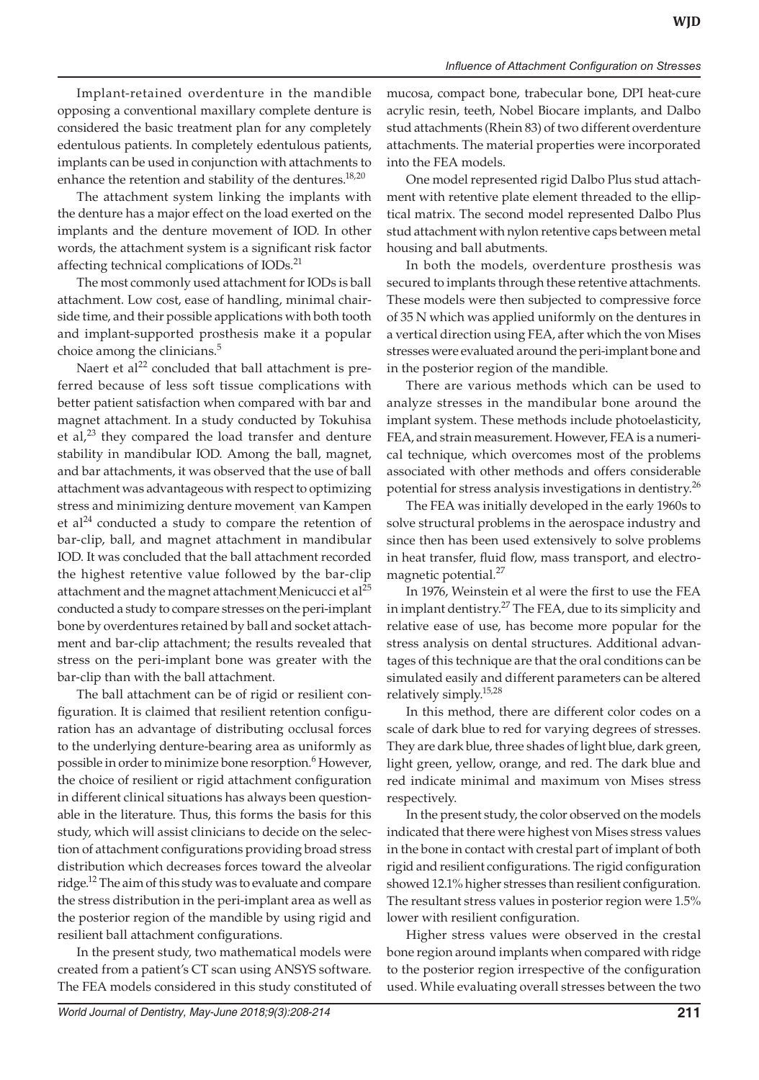Implant-retained overdenture in the mandible opposing a conventional maxillary complete denture is considered the basic treatment plan for any completely edentulous patients. In completely edentulous patients, implants can be used in conjunction with attachments to enhance the retention and stability of the dentures.<sup>18,20</sup>

The attachment system linking the implants with the denture has a major effect on the load exerted on the implants and the denture movement of IOD. In other words, the attachment system is a significant risk factor affecting technical complications of IODs.<sup>21</sup>

The most commonly used attachment for IODs is ball attachment. Low cost, ease of handling, minimal chairside time, and their possible applications with both tooth and implant-supported prosthesis make it a popular choice among the clinicians.<sup>5</sup>

Naert et al<sup>22</sup> concluded that ball attachment is preferred because of less soft tissue complications with better patient satisfaction when compared with bar and magnet attachment. In a study conducted by Tokuhisa et al, $^{23}$  they compared the load transfer and denture stability in mandibular IOD. Among the ball, magnet, and bar attachments, it was observed that the use of ball attachment was advantageous with respect to optimizing stress and minimizing denture movement. van Kampen et al<sup>24</sup> conducted a study to compare the retention of bar-clip, ball, and magnet attachment in mandibular IOD. It was concluded that the ball attachment recorded the highest retentive value followed by the bar-clip attachment and the magnet attachment Menicucci et al $^{25}$ conducted a study to compare stresses on the peri-implant bone by overdentures retained by ball and socket attachment and bar-clip attachment; the results revealed that stress on the peri-implant bone was greater with the bar-clip than with the ball attachment.

The ball attachment can be of rigid or resilient configuration. It is claimed that resilient retention configuration has an advantage of distributing occlusal forces to the underlying denture-bearing area as uniformly as possible in order to minimize bone resorption.<sup>6</sup> However, the choice of resilient or rigid attachment configuration in different clinical situations has always been questionable in the literature. Thus, this forms the basis for this study, which will assist clinicians to decide on the selection of attachment configurations providing broad stress distribution which decreases forces toward the alveolar ridge.12 The aim of this study was to evaluate and compare the stress distribution in the peri-implant area as well as the posterior region of the mandible by using rigid and resilient ball attachment configurations.

In the present study, two mathematical models were created from a patient's CT scan using ANSYS software. The FEA models considered in this study constituted of

mucosa, compact bone, trabecular bone, DPI heat-cure acrylic resin, teeth, Nobel Biocare implants, and Dalbo stud attachments (Rhein 83) of two different overdenture attachments. The material properties were incorporated into the FEA models.

One model represented rigid Dalbo Plus stud attachment with retentive plate element threaded to the elliptical matrix. The second model represented Dalbo Plus stud attachment with nylon retentive caps between metal housing and ball abutments.

In both the models, overdenture prosthesis was secured to implants through these retentive attachments. These models were then subjected to compressive force of 35 N which was applied uniformly on the dentures in a vertical direction using FEA, after which the von Mises stresses were evaluated around the peri-implant bone and in the posterior region of the mandible.

There are various methods which can be used to analyze stresses in the mandibular bone around the implant system. These methods include photoelasticity, FEA, and strain measurement. However, FEA is a numerical technique, which overcomes most of the problems associated with other methods and offers considerable potential for stress analysis investigations in dentistry.<sup>26</sup>

The FEA was initially developed in the early 1960s to solve structural problems in the aerospace industry and since then has been used extensively to solve problems in heat transfer, fluid flow, mass transport, and electromagnetic potential.<sup>27</sup>

In 1976, Weinstein et al were the first to use the FEA in implant dentistry.<sup>27</sup> The FEA, due to its simplicity and relative ease of use, has become more popular for the stress analysis on dental structures. Additional advantages of this technique are that the oral conditions can be simulated easily and different parameters can be altered relatively simply.15,28

In this method, there are different color codes on a scale of dark blue to red for varying degrees of stresses. They are dark blue, three shades of light blue, dark green, light green, yellow, orange, and red. The dark blue and red indicate minimal and maximum von Mises stress respectively.

In the present study, the color observed on the models indicated that there were highest von Mises stress values in the bone in contact with crestal part of implant of both rigid and resilient configurations. The rigid configuration showed 12.1% higher stresses than resilient configuration. The resultant stress values in posterior region were 1.5% lower with resilient configuration.

Higher stress values were observed in the crestal bone region around implants when compared with ridge to the posterior region irrespective of the configuration used. While evaluating overall stresses between the two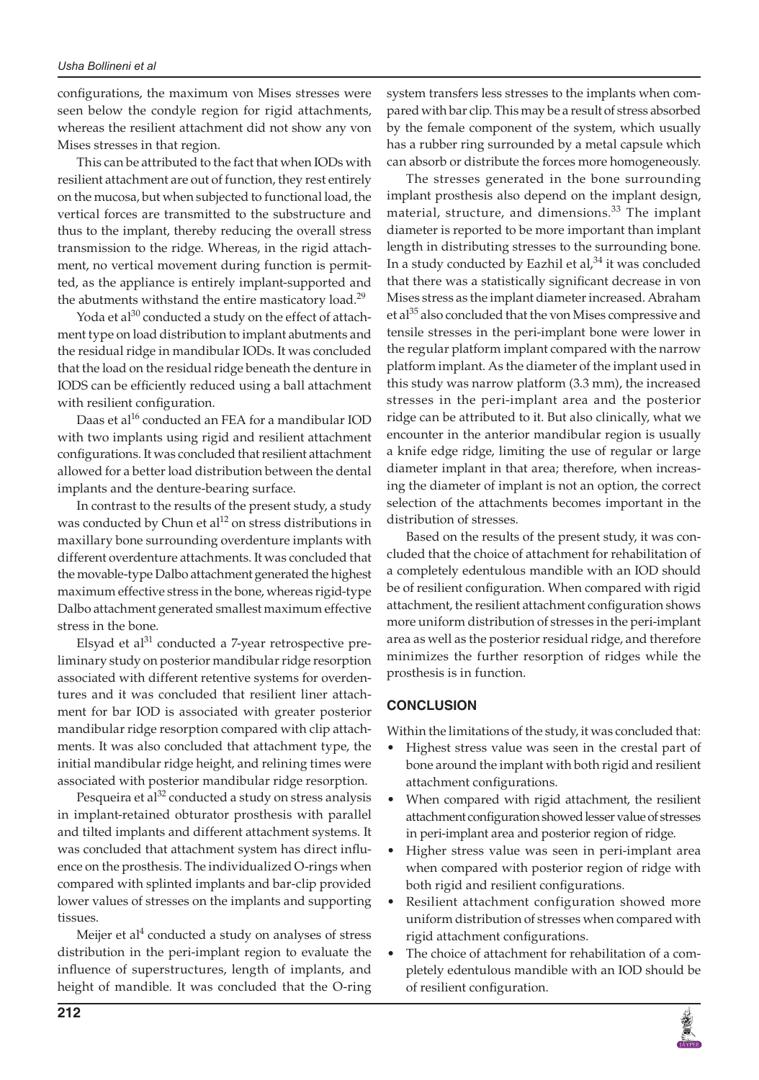configurations, the maximum von Mises stresses were seen below the condyle region for rigid attachments, whereas the resilient attachment did not show any von Mises stresses in that region.

This can be attributed to the fact that when IODs with resilient attachment are out of function, they rest entirely on the mucosa, but when subjected to functional load, the vertical forces are transmitted to the substructure and thus to the implant, thereby reducing the overall stress transmission to the ridge. Whereas, in the rigid attachment, no vertical movement during function is permitted, as the appliance is entirely implant-supported and the abutments withstand the entire masticatory load. $^{29}$ 

Yoda et al $^{30}$  conducted a study on the effect of attachment type on load distribution to implant abutments and the residual ridge in mandibular IODs. It was concluded that the load on the residual ridge beneath the denture in IODS can be efficiently reduced using a ball attachment with resilient configuration.

Daas et al<sup>16</sup> conducted an FEA for a mandibular IOD with two implants using rigid and resilient attachment configurations. It was concluded that resilient attachment allowed for a better load distribution between the dental implants and the denture-bearing surface.

In contrast to the results of the present study, a study was conducted by Chun et al<sup>12</sup> on stress distributions in maxillary bone surrounding overdenture implants with different overdenture attachments. It was concluded that the movable-type Dalbo attachment generated the highest maximum effective stress in the bone, whereas rigid-type Dalbo attachment generated smallest maximum effective stress in the bone.

Elsyad et al $^{31}$  conducted a 7-year retrospective preliminary study on posterior mandibular ridge resorption associated with different retentive systems for overdentures and it was concluded that resilient liner attachment for bar IOD is associated with greater posterior mandibular ridge resorption compared with clip attachments. It was also concluded that attachment type, the initial mandibular ridge height, and relining times were associated with posterior mandibular ridge resorption.

Pesqueira et al<sup>32</sup> conducted a study on stress analysis in implant-retained obturator prosthesis with parallel and tilted implants and different attachment systems. It was concluded that attachment system has direct influence on the prosthesis. The individualized O-rings when compared with splinted implants and bar-clip provided lower values of stresses on the implants and supporting tissues.

Meijer et al $4$  conducted a study on analyses of stress distribution in the peri-implant region to evaluate the influence of superstructures, length of implants, and height of mandible. It was concluded that the O-ring

system transfers less stresses to the implants when compared with bar clip. This may be a result of stress absorbed by the female component of the system, which usually has a rubber ring surrounded by a metal capsule which can absorb or distribute the forces more homogeneously.

The stresses generated in the bone surrounding implant prosthesis also depend on the implant design, material, structure, and dimensions.<sup>33</sup> The implant diameter is reported to be more important than implant length in distributing stresses to the surrounding bone. In a study conducted by Eazhil et al, $34$  it was concluded that there was a statistically significant decrease in von Mises stress as the implant diameter increased. Abraham et al<sup>35</sup> also concluded that the von Mises compressive and tensile stresses in the peri-implant bone were lower in the regular platform implant compared with the narrow platform implant. As the diameter of the implant used in this study was narrow platform (3.3 mm), the increased stresses in the peri-implant area and the posterior ridge can be attributed to it. But also clinically, what we encounter in the anterior mandibular region is usually a knife edge ridge, limiting the use of regular or large diameter implant in that area; therefore, when increasing the diameter of implant is not an option, the correct selection of the attachments becomes important in the distribution of stresses.

Based on the results of the present study, it was concluded that the choice of attachment for rehabilitation of a completely edentulous mandible with an IOD should be of resilient configuration. When compared with rigid attachment, the resilient attachment configuration shows more uniform distribution of stresses in the peri-implant area as well as the posterior residual ridge, and therefore minimizes the further resorption of ridges while the prosthesis is in function.

# **CONCLUSION**

Within the limitations of the study, it was concluded that:

- Highest stress value was seen in the crestal part of bone around the implant with both rigid and resilient attachment configurations.
- • When compared with rigid attachment, the resilient attachment configuration showed lesser value of stresses in peri-implant area and posterior region of ridge.
- • Higher stress value was seen in peri-implant area when compared with posterior region of ridge with both rigid and resilient configurations.
- Resilient attachment configuration showed more uniform distribution of stresses when compared with rigid attachment configurations.
- The choice of attachment for rehabilitation of a completely edentulous mandible with an IOD should be of resilient configuration.

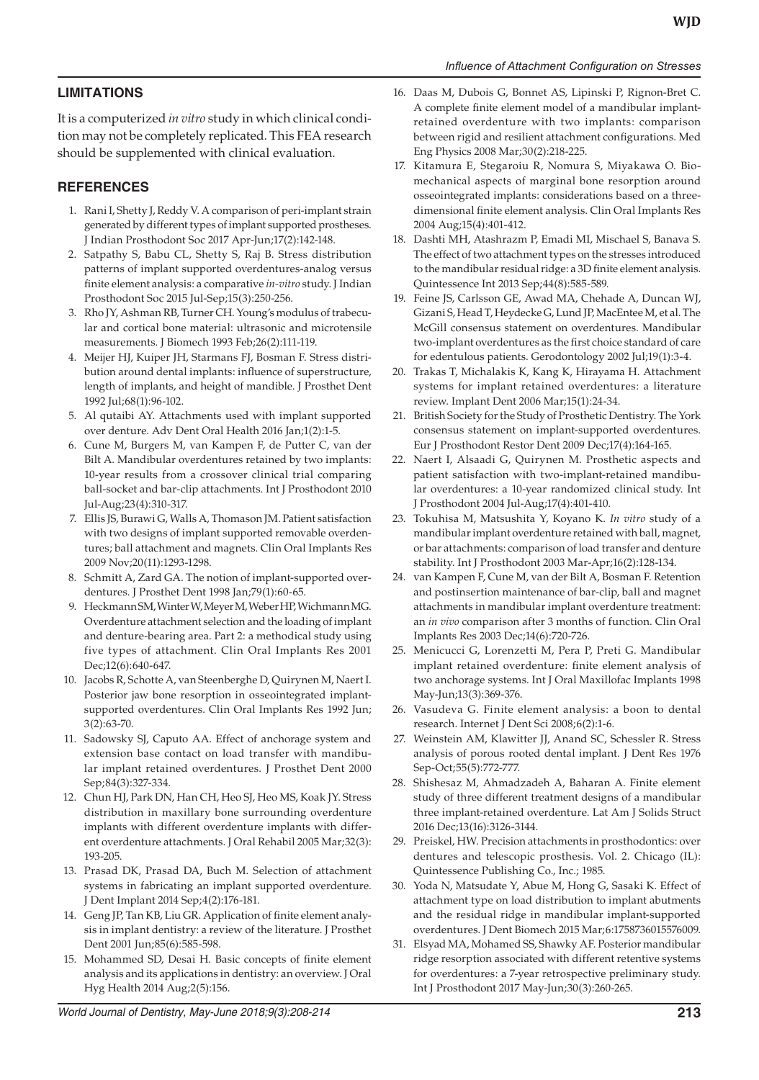#### *Influence of Attachment Configuration on Stresses*

## **LIMITATIONS**

It is a computerized *in vitro* study in which clinical condition may not be completely replicated. This FEA research should be supplemented with clinical evaluation.

#### **REFERENCES**

- 1. Rani I, Shetty J, Reddy V. A comparison of peri-implant strain generated by different types of implant supported prostheses. J Indian Prosthodont Soc 2017 Apr-Jun;17(2):142-148.
- 2. Satpathy S, Babu CL, Shetty S, Raj B. Stress distribution patterns of implant supported overdentures-analog versus finite element analysis: a comparative *in-vitro* study. J Indian Prosthodont Soc 2015 Jul-Sep;15(3):250-256.
- 3. Rho JY, Ashman RB, Turner CH. Young's modulus of trabecular and cortical bone material: ultrasonic and microtensile measurements. J Biomech 1993 Feb;26(2):111-119.
- 4. Meijer HJ, Kuiper JH, Starmans FJ, Bosman F. Stress distribution around dental implants: influence of superstructure, length of implants, and height of mandible. J Prosthet Dent 1992 Jul;68(1):96-102.
- 5. Al qutaibi AY. Attachments used with implant supported over denture. Adv Dent Oral Health 2016 Jan;1(2):1-5.
- 6. Cune M, Burgers M, van Kampen F, de Putter C, van der Bilt A. Mandibular overdentures retained by two implants: 10-year results from a crossover clinical trial comparing ball-socket and bar-clip attachments. Int J Prosthodont 2010 Jul-Aug;23(4):310-317.
- 7. Ellis JS, Burawi G, Walls A, Thomason JM. Patient satisfaction with two designs of implant supported removable overdentures; ball attachment and magnets. Clin Oral Implants Res 2009 Nov;20(11):1293-1298.
- 8. Schmitt A, Zard GA. The notion of implant-supported overdentures. J Prosthet Dent 1998 Jan;79(1):60-65.
- 9. Heckmann SM, Winter W, Meyer M, Weber HP, Wichmann MG. Overdenture attachment selection and the loading of implant and denture-bearing area. Part 2: a methodical study using five types of attachment. Clin Oral Implants Res 2001 Dec;12(6):640-647.
- 10. Jacobs R, Schotte A, van Steenberghe D, Quirynen M, Naert I. Posterior jaw bone resorption in osseointegrated implantsupported overdentures. Clin Oral Implants Res 1992 Jun; 3(2):63-70.
- 11. Sadowsky SJ, Caputo AA. Effect of anchorage system and extension base contact on load transfer with mandibular implant retained overdentures. J Prosthet Dent 2000 Sep;84(3):327-334.
- 12. Chun HJ, Park DN, Han CH, Heo SJ, Heo MS, Koak JY. Stress distribution in maxillary bone surrounding overdenture implants with different overdenture implants with different overdenture attachments. J Oral Rehabil 2005 Mar;32(3): 193-205.
- 13. Prasad DK, Prasad DA, Buch M. Selection of attachment systems in fabricating an implant supported overdenture. J Dent Implant 2014 Sep;4(2):176-181.
- 14. Geng JP, Tan KB, Liu GR. Application of finite element analysis in implant dentistry: a review of the literature. J Prosthet Dent 2001 Jun;85(6):585-598.
- 15. Mohammed SD, Desai H. Basic concepts of finite element analysis and its applications in dentistry: an overview. J Oral Hyg Health 2014 Aug;2(5):156.
- 16. Daas M, Dubois G, Bonnet AS, Lipinski P, Rignon-Bret C. A complete finite element model of a mandibular implantretained overdenture with two implants: comparison between rigid and resilient attachment configurations. Med Eng Physics 2008 Mar;30(2):218-225.
- 17. Kitamura E, Stegaroiu R, Nomura S, Miyakawa O. Biomechanical aspects of marginal bone resorption around osseointegrated implants: considerations based on a threedimensional finite element analysis. Clin Oral Implants Res 2004 Aug;15(4):401-412.
- 18. Dashti MH, Atashrazm P, Emadi MI, Mischael S, Banava S. The effect of two attachment types on the stresses introduced to the mandibular residual ridge: a 3D finite element analysis. Quintessence Int 2013 Sep;44(8):585-589.
- 19. Feine JS, Carlsson GE, Awad MA, Chehade A, Duncan WJ, Gizani S, Head T, Heydecke G, Lund JP, MacEntee M, et al. The McGill consensus statement on overdentures. Mandibular two-implant overdentures as the first choice standard of care for edentulous patients. Gerodontology 2002 Jul;19(1):3-4.
- 20. Trakas T, Michalakis K, Kang K, Hirayama H. Attachment systems for implant retained overdentures: a literature review. Implant Dent 2006 Mar;15(1):24-34.
- 21. British Society for the Study of Prosthetic Dentistry. The York consensus statement on implant-supported overdentures. Eur J Prosthodont Restor Dent 2009 Dec;17(4):164-165.
- 22. Naert I, Alsaadi G, Quirynen M. Prosthetic aspects and patient satisfaction with two-implant-retained mandibular overdentures: a 10-year randomized clinical study. Int J Prosthodont 2004 Jul-Aug;17(4):401-410.
- 23. Tokuhisa M, Matsushita Y, Koyano K. *In vitro* study of a mandibular implant overdenture retained with ball, magnet, or bar attachments: comparison of load transfer and denture stability. Int J Prosthodont 2003 Mar-Apr;16(2):128-134.
- 24. van Kampen F, Cune M, van der Bilt A, Bosman F. Retention and postinsertion maintenance of bar-clip, ball and magnet attachments in mandibular implant overdenture treatment: an *in vivo* comparison after 3 months of function. Clin Oral Implants Res 2003 Dec;14(6):720-726.
- 25. Menicucci G, Lorenzetti M, Pera P, Preti G. Mandibular implant retained overdenture: finite element analysis of two anchorage systems. Int J Oral Maxillofac Implants 1998 May-Jun;13(3):369-376.
- 26. Vasudeva G. Finite element analysis: a boon to dental research. Internet J Dent Sci 2008;6(2):1-6.
- 27. Weinstein AM, Klawitter JJ, Anand SC, Schessler R. Stress analysis of porous rooted dental implant. J Dent Res 1976 Sep-Oct;55(5):772-777.
- 28. Shishesaz M, Ahmadzadeh A, Baharan A. Finite element study of three different treatment designs of a mandibular three implant-retained overdenture. Lat Am J Solids Struct 2016 Dec;13(16):3126-3144.
- 29. Preiskel, HW. Precision attachments in prosthodontics: over dentures and telescopic prosthesis. Vol. 2. Chicago (IL): Quintessence Publishing Co., Inc.; 1985.
- 30. Yoda N, Matsudate Y, Abue M, Hong G, Sasaki K. Effect of attachment type on load distribution to implant abutments and the residual ridge in mandibular implant-supported overdentures. J Dent Biomech 2015 Mar;6:1758736015576009.
- 31. Elsyad MA, Mohamed SS, Shawky AF. Posterior mandibular ridge resorption associated with different retentive systems for overdentures: a 7-year retrospective preliminary study. Int J Prosthodont 2017 May-Jun;30(3):260-265.